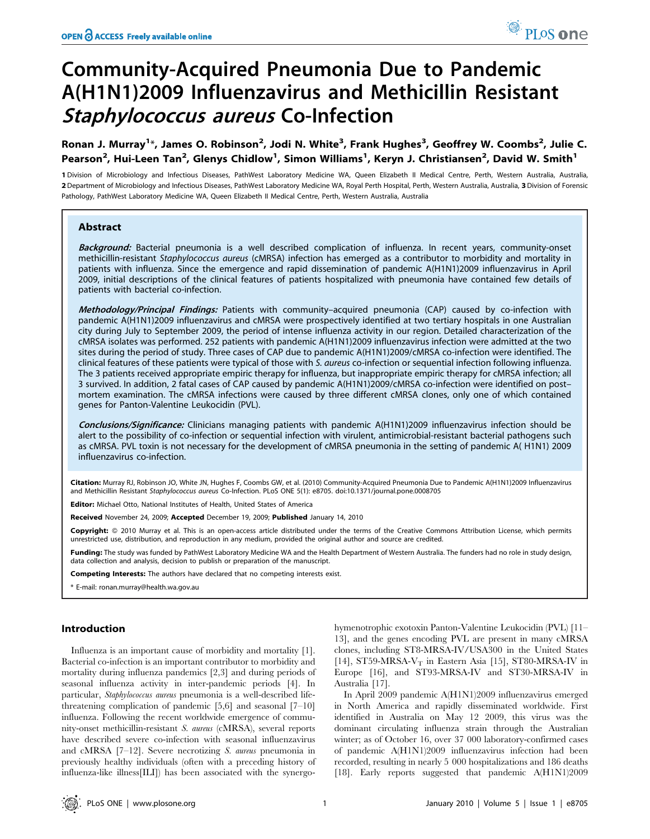# Community-Acquired Pneumonia Due to Pandemic A(H1N1)2009 Influenzavirus and Methicillin Resistant Staphylococcus aureus Co-Infection

Ronan J. Murray<sup>1</sup>\*, James O. Robinson<sup>2</sup>, Jodi N. White<sup>3</sup>, Frank Hughes<sup>3</sup>, Geoffrey W. Coombs<sup>2</sup>, Julie C. Pearson<sup>2</sup>, Hui-Leen Tan<sup>2</sup>, Glenys Chidlow<sup>1</sup>, Simon Williams<sup>1</sup>, Keryn J. Christiansen<sup>2</sup>, David W. Smith<sup>1</sup>

1 Division of Microbiology and Infectious Diseases, PathWest Laboratory Medicine WA, Queen Elizabeth II Medical Centre, Perth, Western Australia, Australia, 2 Department of Microbiology and Infectious Diseases, PathWest Laboratory Medicine WA, Royal Perth Hospital, Perth, Western Australia, Australia, 3 Division of Forensic Pathology, PathWest Laboratory Medicine WA, Queen Elizabeth II Medical Centre, Perth, Western Australia, Australia

## Abstract

Background: Bacterial pneumonia is a well described complication of influenza. In recent years, community-onset methicillin-resistant Staphylococcus aureus (cMRSA) infection has emerged as a contributor to morbidity and mortality in patients with influenza. Since the emergence and rapid dissemination of pandemic A(H1N1)2009 influenzavirus in April 2009, initial descriptions of the clinical features of patients hospitalized with pneumonia have contained few details of patients with bacterial co-infection.

Methodology/Principal Findings: Patients with community-acquired pneumonia (CAP) caused by co-infection with pandemic A(H1N1)2009 influenzavirus and cMRSA were prospectively identified at two tertiary hospitals in one Australian city during July to September 2009, the period of intense influenza activity in our region. Detailed characterization of the cMRSA isolates was performed. 252 patients with pandemic A(H1N1)2009 influenzavirus infection were admitted at the two sites during the period of study. Three cases of CAP due to pandemic A(H1N1)2009/cMRSA co-infection were identified. The clinical features of these patients were typical of those with S. aureus co-infection or sequential infection following influenza. The 3 patients received appropriate empiric therapy for influenza, but inappropriate empiric therapy for cMRSA infection; all 3 survived. In addition, 2 fatal cases of CAP caused by pandemic A(H1N1)2009/cMRSA co-infection were identified on post– mortem examination. The cMRSA infections were caused by three different cMRSA clones, only one of which contained genes for Panton-Valentine Leukocidin (PVL).

Conclusions/Significance: Clinicians managing patients with pandemic A(H1N1)2009 influenzavirus infection should be alert to the possibility of co-infection or sequential infection with virulent, antimicrobial-resistant bacterial pathogens such as cMRSA. PVL toxin is not necessary for the development of cMRSA pneumonia in the setting of pandemic A( H1N1) 2009 influenzavirus co-infection.

Citation: Murray RJ, Robinson JO, White JN, Hughes F, Coombs GW, et al. (2010) Community-Acquired Pneumonia Due to Pandemic A(H1N1)2009 Influenzavirus and Methicillin Resistant Staphylococcus aureus Co-Infection. PLoS ONE 5(1): e8705. doi:10.1371/journal.pone.0008705

Editor: Michael Otto, National Institutes of Health, United States of America

Received November 24, 2009; Accepted December 19, 2009; Published January 14, 2010

Copyright: @ 2010 Murray et al. This is an open-access article distributed under the terms of the Creative Commons Attribution License, which permits unrestricted use, distribution, and reproduction in any medium, provided the original author and source are credited.

Funding: The study was funded by PathWest Laboratory Medicine WA and the Health Department of Western Australia. The funders had no role in study design, data collection and analysis, decision to publish or preparation of the manuscript.

Competing Interests: The authors have declared that no competing interests exist.

\* E-mail: ronan.murray@health.wa.gov.au

# Introduction

Influenza is an important cause of morbidity and mortality [1]. Bacterial co-infection is an important contributor to morbidity and mortality during influenza pandemics [2,3] and during periods of seasonal influenza activity in inter-pandemic periods [4]. In particular, Staphylococcus aureus pneumonia is a well-described lifethreatening complication of pandemic [5,6] and seasonal [7–10] influenza. Following the recent worldwide emergence of community-onset methicillin-resistant S. aureus (cMRSA), several reports have described severe co-infection with seasonal influenzavirus and cMRSA [7–12]. Severe necrotizing S. aureus pneumonia in previously healthy individuals (often with a preceding history of influenza-like illness[ILI]) has been associated with the synergohymenotrophic exotoxin Panton-Valentine Leukocidin (PVL) [11– 13], and the genes encoding PVL are present in many cMRSA clones, including ST8-MRSA-IV/USA300 in the United States [14], ST59-MRSA- $V_T$  in Eastern Asia [15], ST80-MRSA-IV in Europe [16], and ST93-MRSA-IV and ST30-MRSA-IV in Australia [17].

In April 2009 pandemic A(H1N1)2009 influenzavirus emerged in North America and rapidly disseminated worldwide. First identified in Australia on May 12 2009, this virus was the dominant circulating influenza strain through the Australian winter; as of October 16, over 37 000 laboratory-confirmed cases of pandemic A(H1N1)2009 influenzavirus infection had been recorded, resulting in nearly 5 000 hospitalizations and 186 deaths [18]. Early reports suggested that pandemic A(H1N1)2009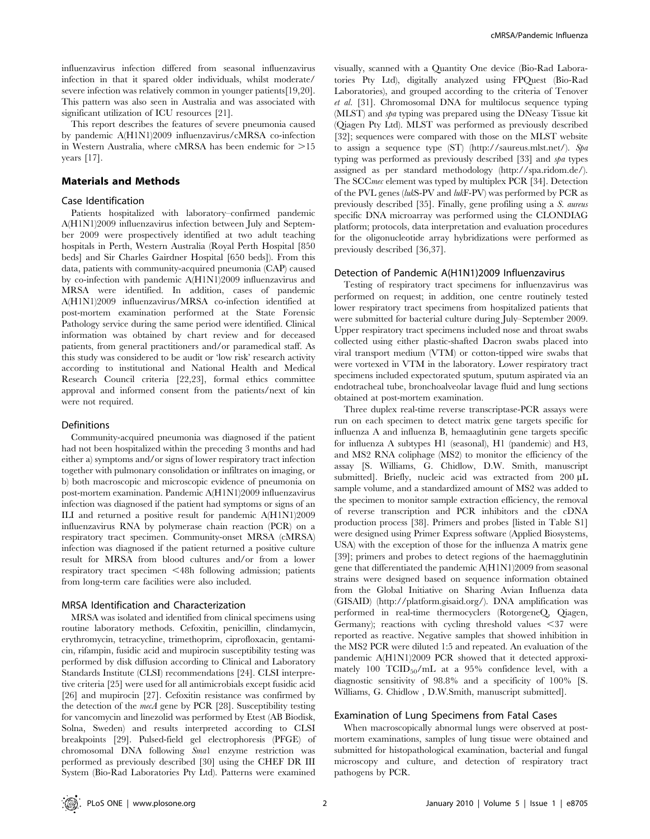influenzavirus infection differed from seasonal influenzavirus infection in that it spared older individuals, whilst moderate/ severe infection was relatively common in younger patients[19,20]. This pattern was also seen in Australia and was associated with significant utilization of ICU resources [21].

This report describes the features of severe pneumonia caused by pandemic A(H1N1)2009 influenzavirus/cMRSA co-infection in Western Australia, where cMRSA has been endemic for  $>15$ years [17].

## Materials and Methods

## Case Identification

Patients hospitalized with laboratory–confirmed pandemic A(H1N1)2009 influenzavirus infection between July and September 2009 were prospectively identified at two adult teaching hospitals in Perth, Western Australia (Royal Perth Hospital [850 beds] and Sir Charles Gairdner Hospital [650 beds]). From this data, patients with community-acquired pneumonia (CAP) caused by co-infection with pandemic A(H1N1)2009 influenzavirus and MRSA were identified. In addition, cases of pandemic A(H1N1)2009 influenzavirus/MRSA co-infection identified at post-mortem examination performed at the State Forensic Pathology service during the same period were identified. Clinical information was obtained by chart review and for deceased patients, from general practitioners and/or paramedical staff. As this study was considered to be audit or 'low risk' research activity according to institutional and National Health and Medical Research Council criteria [22,23], formal ethics committee approval and informed consent from the patients/next of kin were not required.

#### Definitions

Community-acquired pneumonia was diagnosed if the patient had not been hospitalized within the preceding 3 months and had either a) symptoms and/or signs of lower respiratory tract infection together with pulmonary consolidation or infiltrates on imaging, or b) both macroscopic and microscopic evidence of pneumonia on post-mortem examination. Pandemic A(H1N1)2009 influenzavirus infection was diagnosed if the patient had symptoms or signs of an ILI and returned a positive result for pandemic A(H1N1)2009 influenzavirus RNA by polymerase chain reaction (PCR) on a respiratory tract specimen. Community-onset MRSA (cMRSA) infection was diagnosed if the patient returned a positive culture result for MRSA from blood cultures and/or from a lower respiratory tract specimen <48h following admission; patients from long-term care facilities were also included.

#### MRSA Identification and Characterization

MRSA was isolated and identified from clinical specimens using routine laboratory methods. Cefoxitin, penicillin, clindamycin, erythromycin, tetracycline, trimethoprim, ciprofloxacin, gentamicin, rifampin, fusidic acid and mupirocin susceptibility testing was performed by disk diffusion according to Clinical and Laboratory Standards Institute (CLSI) recommendations [24]. CLSI interpretive criteria [25] were used for all antimicrobials except fusidic acid [26] and mupirocin [27]. Cefoxitin resistance was confirmed by the detection of the mecA gene by PCR [28]. Susceptibility testing for vancomycin and linezolid was performed by Etest (AB Biodisk, Solna, Sweden) and results interpreted according to CLSI breakpoints [29]. Pulsed-field gel electrophoresis (PFGE) of chromosomal DNA following Sma1 enzyme restriction was performed as previously described [30] using the CHEF DR III System (Bio-Rad Laboratories Pty Ltd). Patterns were examined visually, scanned with a Quantity One device (Bio-Rad Laboratories Pty Ltd), digitally analyzed using FPQuest (Bio-Rad Laboratories), and grouped according to the criteria of Tenover et al. [31]. Chromosomal DNA for multilocus sequence typing (MLST) and spa typing was prepared using the DNeasy Tissue kit (Qiagen Pty Ltd). MLST was performed as previously described [32]; sequences were compared with those on the MLST website to assign a sequence type (ST) (http://saureus.mlst.net/). Spa typing was performed as previously described [33] and spa types assigned as per standard methodology (http://spa.ridom.de/). The SCCmec element was typed by multiplex PCR [34]. Detection of the PVL genes (lukS-PV and lukF-PV) was performed by PCR as previously described [35]. Finally, gene profiling using a S. aureus specific DNA microarray was performed using the CLONDIAG platform; protocols, data interpretation and evaluation procedures for the oligonucleotide array hybridizations were performed as previously described [36,37].

#### Detection of Pandemic A(H1N1)2009 Influenzavirus

Testing of respiratory tract specimens for influenzavirus was performed on request; in addition, one centre routinely tested lower respiratory tract specimens from hospitalized patients that were submitted for bacterial culture during July–September 2009. Upper respiratory tract specimens included nose and throat swabs collected using either plastic-shafted Dacron swabs placed into viral transport medium (VTM) or cotton-tipped wire swabs that were vortexed in VTM in the laboratory. Lower respiratory tract specimens included expectorated sputum, sputum aspirated via an endotracheal tube, bronchoalveolar lavage fluid and lung sections obtained at post-mortem examination.

Three duplex real-time reverse transcriptase-PCR assays were run on each specimen to detect matrix gene targets specific for influenza A and influenza B, hemaaglutinin gene targets specific for influenza A subtypes H1 (seasonal), H1 (pandemic) and H3, and MS2 RNA coliphage (MS2) to monitor the efficiency of the assay [S. Williams, G. Chidlow, D.W. Smith, manuscript submitted]. Briefly, nucleic acid was extracted from 200  $\mu$ L sample volume, and a standardized amount of MS2 was added to the specimen to monitor sample extraction efficiency, the removal of reverse transcription and PCR inhibitors and the cDNA production process [38]. Primers and probes [listed in Table S1] were designed using Primer Express software (Applied Biosystems, USA) with the exception of those for the influenza A matrix gene [39]; primers and probes to detect regions of the haemagglutinin gene that differentiated the pandemic A(H1N1)2009 from seasonal strains were designed based on sequence information obtained from the Global Initiative on Sharing Avian Influenza data (GISAID) (http://platform.gisaid.org/). DNA amplification was performed in real-time thermocyclers (RotorgeneQ, Qiagen, Germany); reactions with cycling threshold values  $\leq 37$  were reported as reactive. Negative samples that showed inhibition in the MS2 PCR were diluted 1:5 and repeated. An evaluation of the pandemic A(H1N1)2009 PCR showed that it detected approximately 100 TCID<sub>50</sub>/mL at a 95% confidence level, with a diagnostic sensitivity of 98.8% and a specificity of 100% [S. Williams, G. Chidlow , D.W.Smith, manuscript submitted].

## Examination of Lung Specimens from Fatal Cases

When macroscopically abnormal lungs were observed at postmortem examinations, samples of lung tissue were obtained and submitted for histopathological examination, bacterial and fungal microscopy and culture, and detection of respiratory tract pathogens by PCR.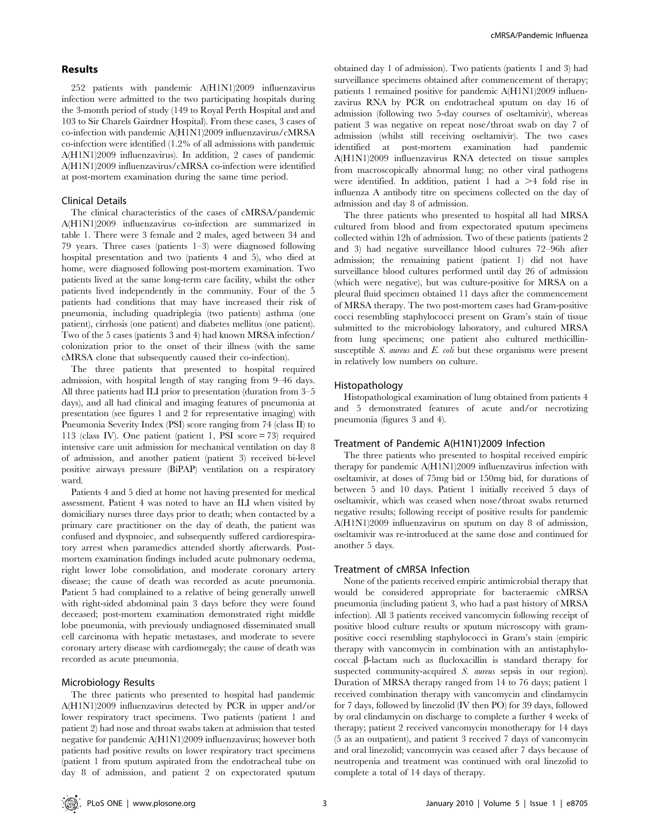## Results

252 patients with pandemic A(H1N1)2009 influenzavirus infection were admitted to the two participating hospitals during the 3-month period of study (149 to Royal Perth Hospital and and 103 to Sir Charels Gairdner Hospital). From these cases, 3 cases of co-infection with pandemic A(H1N1)2009 influenzavirus/cMRSA co-infection were identified (1.2% of all admissions with pandemic A(H1N1)2009 influenzavirus). In addition, 2 cases of pandemic A(H1N1)2009 influenzavirus/cMRSA co-infection were identified at post-mortem examination during the same time period.

## Clinical Details

The clinical characteristics of the cases of cMRSA/pandemic A(H1N1)2009 influenzavirus co-infection are summarized in table 1. There were 3 female and 2 males, aged between 34 and 79 years. Three cases (patients 1–3) were diagnosed following hospital presentation and two (patients 4 and 5), who died at home, were diagnosed following post-mortem examination. Two patients lived at the same long-term care facility, whilst the other patients lived independently in the community. Four of the 5 patients had conditions that may have increased their risk of pneumonia, including quadriplegia (two patients) asthma (one patient), cirrhosis (one patient) and diabetes mellitus (one patient). Two of the 5 cases (patients 3 and 4) had known MRSA infection/ colonization prior to the onset of their illness (with the same cMRSA clone that subsequently caused their co-infection).

The three patients that presented to hospital required admission, with hospital length of stay ranging from 9–46 days. All three patients had ILI prior to presentation (duration from 3–5 days), and all had clinical and imaging features of pneumonia at presentation (see figures 1 and 2 for representative imaging) with Pneumonia Severity Index (PSI) score ranging from 74 (class II) to 113 (class IV). One patient (patient 1, PSI score = 73) required intensive care unit admission for mechanical ventilation on day 8 of admission, and another patient (patient 3) received bi-level positive airways pressure (BiPAP) ventilation on a respiratory ward.

Patients 4 and 5 died at home not having presented for medical assessment. Patient 4 was noted to have an ILI when visited by domiciliary nurses three days prior to death; when contacted by a primary care practitioner on the day of death, the patient was confused and dyspnoiec, and subsequently suffered cardiorespiratory arrest when paramedics attended shortly afterwards. Postmortem examination findings included acute pulmonary oedema, right lower lobe consolidation, and moderate coronary artery disease; the cause of death was recorded as acute pneumonia. Patient 5 had complained to a relative of being generally unwell with right-sided abdominal pain 3 days before they were found deceased; post-mortem examination demonstrated right middle lobe pneumonia, with previously undiagnosed disseminated small cell carcinoma with hepatic metastases, and moderate to severe coronary artery disease with cardiomegaly; the cause of death was recorded as acute pneumonia.

## Microbiology Results

The three patients who presented to hospital had pandemic A(H1N1)2009 influenzavirus detected by PCR in upper and/or lower respiratory tract specimens. Two patients (patient 1 and patient 2) had nose and throat swabs taken at admission that tested negative for pandemic A(H1N1)2009 influenzavirus; however both patients had positive results on lower respiratory tract specimens (patient 1 from sputum aspirated from the endotracheal tube on day 8 of admission, and patient 2 on expectorated sputum obtained day 1 of admission). Two patients (patients 1 and 3) had surveillance specimens obtained after commencement of therapy; patients 1 remained positive for pandemic A(H1N1)2009 influenzavirus RNA by PCR on endotracheal sputum on day 16 of admission (following two 5-day courses of oseltamivir), whereas patient 3 was negative on repeat nose/throat swab on day 7 of admission (whilst still receiving oseltamivir). The two cases identified at post-mortem examination had pandemic A(H1N1)2009 influenzavirus RNA detected on tissue samples from macroscopically abnormal lung; no other viral pathogens were identified. In addition, patient 1 had a  $\geq 4$  fold rise in influenza A antibody titre on specimens collected on the day of admission and day 8 of admission.

The three patients who presented to hospital all had MRSA cultured from blood and from expectorated sputum specimens collected within 12h of admission. Two of these patients (patients 2 and 3) had negative surveillance blood cultures 72–96h after admission; the remaining patient (patient 1) did not have surveillance blood cultures performed until day 26 of admission (which were negative), but was culture-positive for MRSA on a pleural fluid specimen obtained 11 days after the commencement of MRSA therapy. The two post-mortem cases had Gram-positive cocci resembling staphylococci present on Gram's stain of tissue submitted to the microbiology laboratory, and cultured MRSA from lung specimens; one patient also cultured methicillinsusceptible S. aureus and E. coli but these organisms were present in relatively low numbers on culture.

#### Histopathology

Histopathological examination of lung obtained from patients 4 and 5 demonstrated features of acute and/or necrotizing pneumonia (figures 3 and 4).

## Treatment of Pandemic A(H1N1)2009 Infection

The three patients who presented to hospital received empiric therapy for pandemic A(H1N1)2009 influenzavirus infection with oseltamivir, at doses of 75mg bid or 150mg bid, for durations of between 5 and 10 days. Patient 1 initially received 5 days of oseltamivir, which was ceased when nose/throat swabs returned negative results; following receipt of positive results for pandemic A(H1N1)2009 influenzavirus on sputum on day 8 of admission, oseltamivir was re-introduced at the same dose and continued for another 5 days.

### Treatment of cMRSA Infection

None of the patients received empiric antimicrobial therapy that would be considered appropriate for bacteraemic cMRSA pneumonia (including patient 3, who had a past history of MRSA infection). All 3 patients received vancomycin following receipt of positive blood culture results or sputum microscopy with grampositive cocci resembling staphylococci in Gram's stain (empiric therapy with vancomycin in combination with an antistaphylococcal *b*-lactam such as flucloxacillin is standard therapy for suspected community-acquired S. aureus sepsis in our region). Duration of MRSA therapy ranged from 14 to 76 days; patient 1 received combination therapy with vancomycin and clindamycin for 7 days, followed by linezolid (IV then PO) for 39 days, followed by oral clindamycin on discharge to complete a further 4 weeks of therapy; patient 2 received vancomycin monotherapy for 14 days (5 as an outpatient), and patient 3 received 7 days of vancomycin and oral linezolid; vancomycin was ceased after 7 days because of neutropenia and treatment was continued with oral linezolid to complete a total of 14 days of therapy.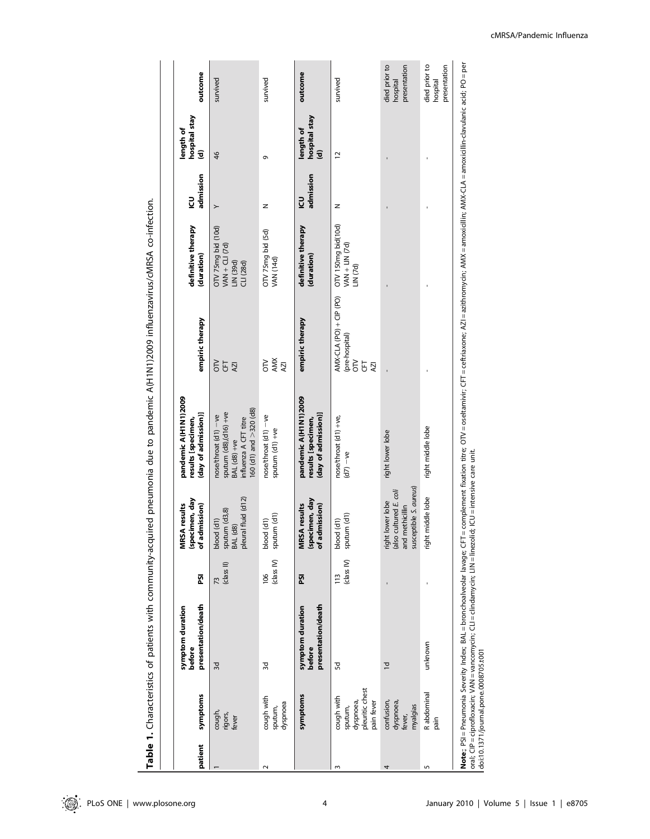| patient | symptoms                                                            | presentation/death<br>symptom duration<br>before                                                                                                                                        | ន្ថ                          | (specimen, day<br>of admission)<br><b>MRSA</b> results                                  | pandemic A(H1N1)2009<br>(day of admission)]<br>results [specimen,                                                                                         | empiric therapy                                                   | definitive therapy<br>(duration)                              | admission<br><u>ی</u> | hospital stay<br>length of<br>$\overline{\mathbf{z}}$ | outcome                                   |
|---------|---------------------------------------------------------------------|-----------------------------------------------------------------------------------------------------------------------------------------------------------------------------------------|------------------------------|-----------------------------------------------------------------------------------------|-----------------------------------------------------------------------------------------------------------------------------------------------------------|-------------------------------------------------------------------|---------------------------------------------------------------|-----------------------|-------------------------------------------------------|-------------------------------------------|
|         | cough,<br>rigors,<br>fever                                          | 3d                                                                                                                                                                                      | (class II)<br>73             | pleural fluid (d12)<br>sputum (d3,8)<br>BAL (d8)<br>blood (d1)                          | 160 (d1) and >320 (d8)<br>sputum (d8),(d16) +ve<br>nose/throat (d1) -ve<br>influenza A CFT titre<br>BAL (d8) +ve                                          | ΟN<br>E<br>AZI                                                    | OTV 75mg bid (10d)<br>VAN + CLI (7d)<br>LN (39d)<br>CLI (28d) | $\succ$               | 46                                                    | survived                                  |
| $\sim$  | cough with<br>dyspnoea<br>sputum,                                   | 3d                                                                                                                                                                                      | (class IV)<br>106            | sputum (d1)<br>blood (d1)                                                               | nose/throat (d1) -ve<br>sputum (d1) +ve                                                                                                                   | AMX<br>$\leq$<br>AZI                                              | OTV 75mg bid (5d)<br><b>VAN (14d)</b>                         | z                     | ō                                                     | survived                                  |
|         | symptoms                                                            | presentation/death<br>symptom duration<br>before                                                                                                                                        | ត្ត                          | (specimen, day<br>of admission)<br><b>MRSA</b> results                                  | pandemic A(H1N1)2009<br>(day of admission)]<br>results [specimen,                                                                                         | empiric therapy                                                   | definitive therapy<br>(duration)                              | admission<br><u>ی</u> | hospital stay<br>length of<br>$\overline{e}$          | outcome                                   |
| S       | pleuritic chest<br>cough with<br>dyspnoea,<br>pain fever<br>sputum, | œ                                                                                                                                                                                       | (class IV)<br>$\frac{13}{2}$ | blood (d1)<br>sputum (d1)                                                               | nose/throat (d1) +ve,<br>$(d7) -ve$                                                                                                                       | $ANX-CLA$ (PO) + CIP (PO)<br>(pre-hospital)<br>$\leq$<br>E<br>AZI | OTV 150mg bid(10d)<br>VAN + LIN (7d)<br>LIN <sub>(7d)</sub>   | z                     | 12                                                    | survived                                  |
| 4       | confusion,<br>dyspnoea,<br>myalgias<br>fever,                       | $\overline{C}$                                                                                                                                                                          |                              | susceptible S. aureus)<br>(also cultured E. coli<br>right lower lobe<br>and methicillin | right lower lobe                                                                                                                                          |                                                                   |                                                               |                       |                                                       | died prior to<br>presentation<br>hospital |
| 5       | R abdominal<br>ning<br>Bai                                          | unknown                                                                                                                                                                                 |                              | right middle lobe                                                                       | right middle lobe                                                                                                                                         |                                                                   |                                                               |                       |                                                       | died prior to<br>presentation<br>hospital |
|         | doi:10.1371/journal.pone.0008705.t001                               | oral; CIP = ciprofloxacin; VAN = vancomycin; CLI = clindamycin; LIN = linezolid; ICU = intensive care unit.<br>Note;; PSI = Pneumonia Severity Index; BAL = bronchoalveolar lavage; CFT |                              |                                                                                         | e complement fixation titre; OTV = oseltamivir; CFT = ceftriaxone; AZI = azithromycin; AMX = amoxicillin; AMX-CLA = amoxicillin-clavulanic acid; PO = per |                                                                   |                                                               |                       |                                                       |                                           |

Table 1. Characteristics of patients with community-acquired pneumonia due to pandemic A(H1N1)2009 influenzavirus/cMRSA co-infection. Table 1. Characteristics of patients with community-acquired pneumonia due to pandemic A(H1N1)2009 influenzavirus/cMRSA co-infection.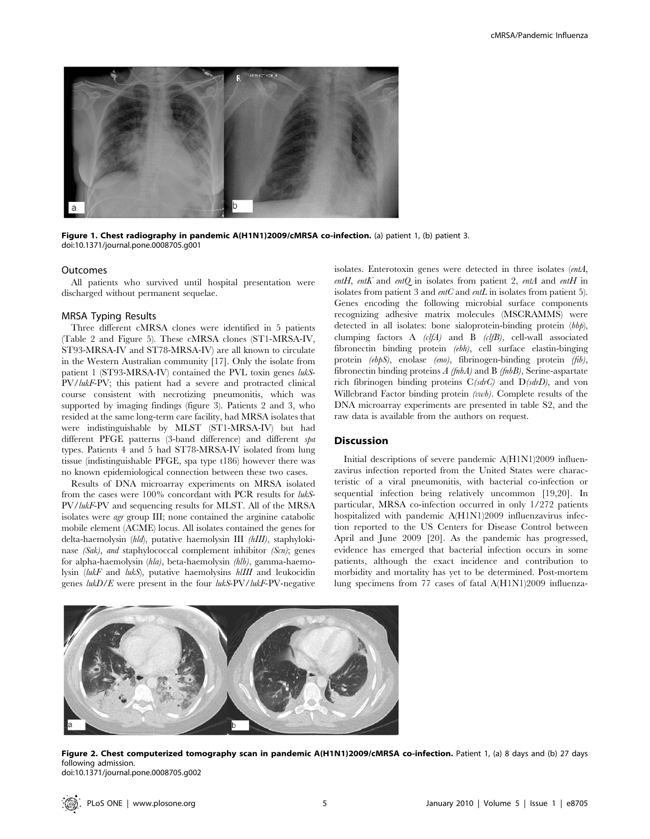

Figure 1. Chest radiography in pandemic A(H1N1)2009/cMRSA co-infection. (a) patient 1, (b) patient 3. doi:10.1371/journal.pone.0008705.g001

#### Outcomes

All patients who survived until hospital presentation were discharged without permanent sequelae.

## MRSA Typing Results

Three different cMRSA clones were identified in 5 patients (Table 2 and Figure 5). These cMRSA clones (ST1-MRSA-IV, ST93-MRSA-IV and ST78-MRSA-IV) are all known to circulate in the Western Australian community [17]. Only the isolate from patient 1 (ST93-MRSA-IV) contained the PVL toxin genes lukS-PV/lukF-PV; this patient had a severe and protracted clinical course consistent with necrotizing pneumonitis, which was supported by imaging findings (figure 3). Patients 2 and 3, who resided at the same long-term care facility, had MRSA isolates that were indistinguishable by MLST (ST1-MRSA-IV) but had different PFGE patterns (3-band difference) and different spa types. Patients 4 and 5 had ST78-MRSA-IV isolated from lung tissue (indistinguishable PFGE, spa type t186) however there was no known epidemiological connection between these two cases.

Results of DNA microarray experiments on MRSA isolated from the cases were 100% concordant with PCR results for lukS-PV/lukF-PV and sequencing results for MLST. All of the MRSA isolates were agr group III; none contained the arginine catabolic mobile element (ACME) locus. All isolates contained the genes for delta-haemolysin (hld), putative haemolysin III (hIII), staphylokinase (Sak), and staphylococcal complement inhibitor (Scn); genes for alpha-haemolysin (hla), beta-haemolysin (hlb), gamma-haemolysin (lukF and lukS), putative haemolysins hlIII and leukocidin genes lukD/E were present in the four lukS-PV/lukF-PV-negative

isolates. Enterotoxin genes were detected in three isolates (entA, entH, entK and entQ in isolates from patient 2, entA and entH in isolates from patient 3 and *entC* and *entL* in isolates from patient 5). Genes encoding the following microbial surface components recognizing adhesive matrix molecules (MSCRAMMS) were detected in all isolates: bone sialoprotein-binding protein (bbp), clumping factors A (clfA) and B (clfB), cell-wall associated fibronectin binding protein (ebh), cell surface elastin-binging protein (ebpS), enolase (eno), fibrinogen-binding protein (fib), fibronectin binding proteins  $A$  (fnbA) and B (fnbB), Serine-aspartate rich fibrinogen binding proteins C(sdrC) and D(sdrD), and von Willebrand Factor binding protein (vwb). Complete results of the DNA microarray experiments are presented in table S2, and the raw data is available from the authors on request.

#### **Discussion**

Initial descriptions of severe pandemic A(H1N1)2009 influenzavirus infection reported from the United States were characteristic of a viral pneumonitis, with bacterial co-infection or sequential infection being relatively uncommon [19,20]. In particular, MRSA co-infection occurred in only 1/272 patients hospitalized with pandemic A(H1N1)2009 influenzavirus infection reported to the US Centers for Disease Control between April and June 2009 [20]. As the pandemic has progressed, evidence has emerged that bacterial infection occurs in some patients, although the exact incidence and contribution to morbidity and mortality has yet to be determined. Post-mortem lung specimens from 77 cases of fatal A(H1N1)2009 influenza-



Figure 2. Chest computerized tomography scan in pandemic A(H1N1)2009/cMRSA co-infection. Patient 1, (a) 8 days and (b) 27 days following admission. doi:10.1371/journal.pone.0008705.g002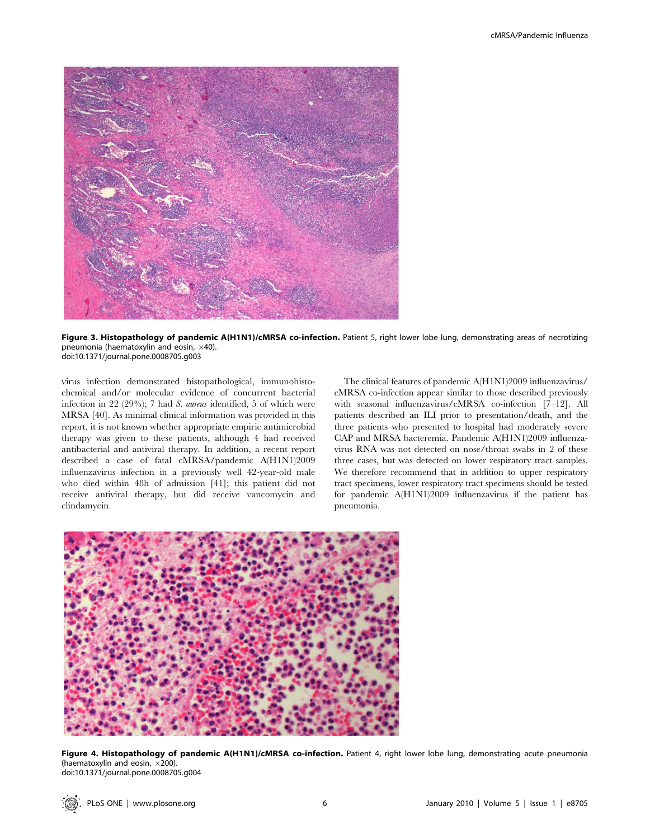

Figure 3. Histopathology of pandemic A(H1N1)/cMRSA co-infection. Patient 5, right lower lobe lung, demonstrating areas of necrotizing pneumonia (haematoxylin and eosin,  $\times$ 40). doi:10.1371/journal.pone.0008705.g003

virus infection demonstrated histopathological, immunohistochemical and/or molecular evidence of concurrent bacterial infection in 22 (29%); 7 had S. aureus identified, 5 of which were MRSA [40]. As minimal clinical information was provided in this report, it is not known whether appropriate empiric antimicrobial therapy was given to these patients, although 4 had received antibacterial and antiviral therapy. In addition, a recent report described a case of fatal cMRSA/pandemic A(H1N1)2009 influenzavirus infection in a previously well 42-year-old male who died within 48h of admission [41]; this patient did not receive antiviral therapy, but did receive vancomycin and clindamycin.

The clinical features of pandemic A(H1N1)2009 influenzavirus/ cMRSA co-infection appear similar to those described previously with seasonal influenzavirus/cMRSA co-infection [7–12]. All patients described an ILI prior to presentation/death, and the three patients who presented to hospital had moderately severe CAP and MRSA bacteremia. Pandemic A(H1N1)2009 influenzavirus RNA was not detected on nose/throat swabs in 2 of these three cases, but was detected on lower respiratory tract samples. We therefore recommend that in addition to upper respiratory tract specimens, lower respiratory tract specimens should be tested for pandemic A(H1N1)2009 influenzavirus if the patient has pneumonia.



Figure 4. Histopathology of pandemic A(H1N1)/cMRSA co-infection. Patient 4, right lower lobe lung, demonstrating acute pneumonia (haematoxylin and eosin,  $\times$ 200). doi:10.1371/journal.pone.0008705.g004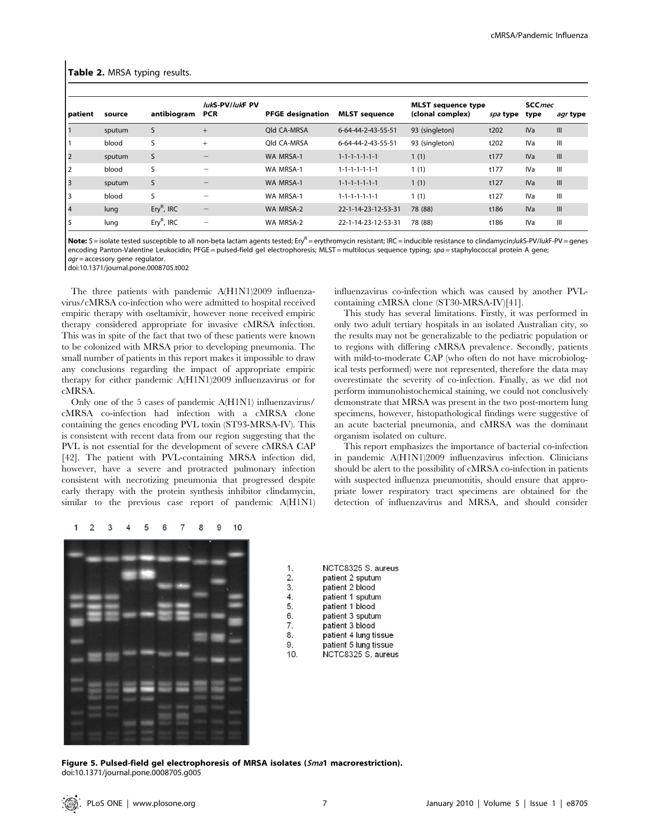#### Table 2. MRSA typing results.

| patient        | source | antibiogram  | lukS-PV/lukF PV<br><b>PCR</b> | <b>PFGE designation</b> | <b>MLST</b> sequence        | <b>MLST</b> sequence type<br>(clonal complex) | spa type | <b>SCC</b> mec<br>type | <i>agr</i> type |
|----------------|--------|--------------|-------------------------------|-------------------------|-----------------------------|-----------------------------------------------|----------|------------------------|-----------------|
|                | sputum | S            | $^{+}$                        | Old CA-MRSA             | 6-64-44-2-43-55-51          | 93 (singleton)                                | t202     | <b>IVa</b>             | III             |
|                | blood  | S            | $+$                           | Old CA-MRSA             | 6-64-44-2-43-55-51          | 93 (singleton)                                | t202     | IV <sub>a</sub>        | Ш               |
|                | sputum | S            |                               | WA MRSA-1               | $1 - 1 - 1 - 1 - 1 - 1 - 1$ | 1(1)                                          | t177     | <b>IVa</b>             | III             |
|                | blood  | S            | -                             | WA MRSA-1               | $1 - 1 - 1 - 1 - 1 - 1 - 1$ | 1(1)                                          | t177     | IV <sub>a</sub>        | Ш               |
| $\overline{3}$ | sputum | S            |                               | WA MRSA-1               | $1 - 1 - 1 - 1 - 1 - 1 - 1$ | 1(1)                                          | t127     | <b>IVa</b>             | III             |
| 3              | blood  | S            | -                             | WA MRSA-1               | $1 - 1 - 1 - 1 - 1 - 1 - 1$ | 1(1)                                          | t127     | IV <sub>a</sub>        | Ш               |
| $\overline{4}$ | lung   | $EryR$ , IRC | $\qquad \qquad -$             | WA MRSA-2               | 22-1-14-23-12-53-31         | 78 (88)                                       | t186     | <b>IVa</b>             | III             |
|                | lung   | $EryR$ , IRC | -                             | WA MRSA-2               | 22-1-14-23-12-53-31         | 78 (88)                                       | t186     | IV <sub>a</sub>        | Ш               |

Note: S = isolate tested susceptible to all non-beta lactam agents tested; Ery<sup>R</sup> = erythromycin resistant; IRC = inducible resistance to clindamycin;/ukS-PV/lukF-PV = genes encoding Panton-Valentine Leukocidin; PFGE = pulsed-field gel electrophoresis; MLST = multilocus sequence typing; spa = staphylococcal protein A gene; agr = accessory gene regulator.

doi:10.1371/journal.pone.0008705.t002

The three patients with pandemic A(H1N1)2009 influenzavirus/cMRSA co-infection who were admitted to hospital received empiric therapy with oseltamivir, however none received empiric therapy considered appropriate for invasive cMRSA infection. This was in spite of the fact that two of these patients were known to be colonized with MRSA prior to developing pneumonia. The small number of patients in this report makes it impossible to draw any conclusions regarding the impact of appropriate empiric therapy for either pandemic A(H1N1)2009 influenzavirus or for cMRSA.

Only one of the 5 cases of pandemic A(H1N1) influenzavirus/ cMRSA co-infection had infection with a cMRSA clone containing the genes encoding PVL toxin (ST93-MRSA-IV). This is consistent with recent data from our region suggesting that the PVL is not essential for the development of severe cMRSA CAP [42]. The patient with PVL-containing MRSA infection did, however, have a severe and protracted pulmonary infection consistent with necrotizing pneumonia that progressed despite early therapy with the protein synthesis inhibitor clindamycin, similar to the previous case report of pandemic A(H1N1) influenzavirus co-infection which was caused by another PVLcontaining cMRSA clone (ST30-MRSA-IV)[41].

This study has several limitations. Firstly, it was performed in only two adult tertiary hospitals in an isolated Australian city, so the results may not be generalizable to the pediatric population or to regions with differing cMRSA prevalence. Secondly, patients with mild-to-moderate CAP (who often do not have microbiological tests performed) were not represented, therefore the data may overestimate the severity of co-infection. Finally, as we did not perform immunohistochemical staining, we could not conclusively demonstrate that MRSA was present in the two post-mortem lung specimens, however, histopathological findings were suggestive of an acute bacterial pneumonia, and cMRSA was the dominant organism isolated on culture.

This report emphasizes the importance of bacterial co-infection in pandemic A(H1N1)2009 influenzavirus infection. Clinicians should be alert to the possibility of cMRSA co-infection in patients with suspected influenza pneumonitis, should ensure that appropriate lower respiratory tract specimens are obtained for the detection of influenzavirus and MRSA, and should consider



NCTC8325 S. aureus  $\mathbf{1}$  $\overline{2}$ patient 2 sputum 3. patient 2 blood  $\overline{4}$ . patient 1 sputum 5. patient 1 blood 6. patient 3 sputum  $\overline{7}$ . patient 3 blood 8. patient 4 lung tissue 9 patient 5 lung tissue  $10$ NCTC8325 S. aureus

Figure 5. Pulsed-field gel electrophoresis of MRSA isolates (Sma1 macrorestriction). doi:10.1371/journal.pone.0008705.g005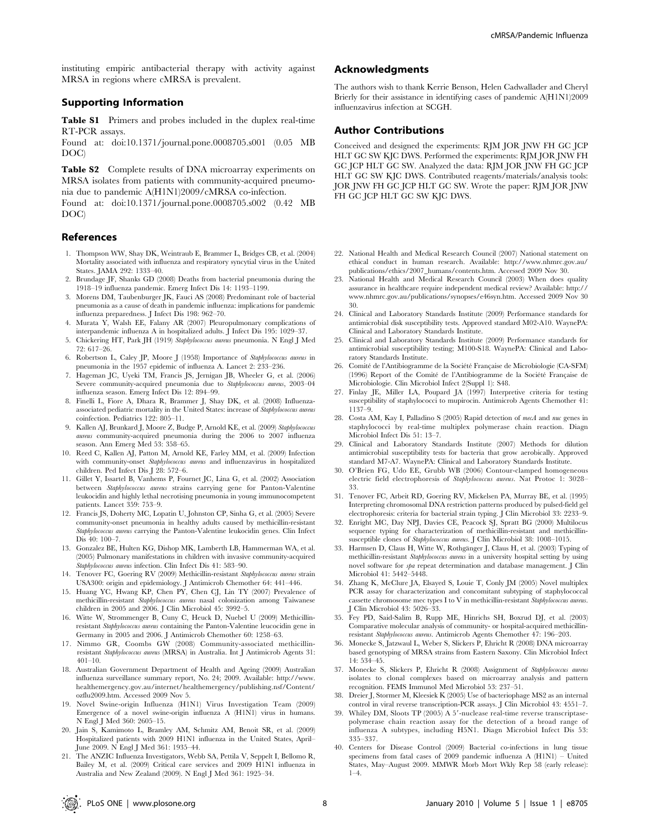instituting empiric antibacterial therapy with activity against MRSA in regions where cMRSA is prevalent.

## Supporting Information

Table S1 Primers and probes included in the duplex real-time RT-PCR assays.

Found at: doi:10.1371/journal.pone.0008705.s001 (0.05 MB DOC)

Table S2 Complete results of DNA microarray experiments on MRSA isolates from patients with community-acquired pneumonia due to pandemic A(H1N1)2009/cMRSA co-infection.

Found at: doi:10.1371/journal.pone.0008705.s002 (0.42 MB DOC)

## References

- 1. Thompson WW, Shay DK, Weintraub E, Brammer L, Bridges CB, et al. (2004) Mortality associated with influenza and respiratory syncytial virus in the United States. JAMA 292: 1333–40.
- 2. Brundage JF, Shanks GD (2008) Deaths from bacterial pneumonia during the 1918–19 influenza pandemic. Emerg Infect Dis 14: 1193–1199.
- 3. Morens DM, Taubenburger JK, Fauci AS (2008) Predominant role of bacterial pneumonia as a cause of death in pandemic influenza: implications for pandemic influenza preparedness. J Infect Dis 198: 962–70.
- 4. Murata Y, Walsh EE, Falany AR (2007) Pleuropulmonary complications of interpandemic influenza A in hospitalized adults. J Infect Dis 195: 1029–37.
- 5. Chickering HT, Park JH (1919) Staphylococcus aureus pneumonia. N Engl J Med 72: 617–26.
- 6. Robertson L, Caley JP, Moore J (1958) Importance of Staphylococcus aureus in pneumonia in the 1957 epidemic of influenza A. Lancet 2: 233–236.
- 7. Hageman JC, Uyeki TM, Francis JS, Jernigan JB, Wheeler G, et al. (2006) Severe community-acquired pneumonia due to Staphylococcus aureus, 2003–04 influenza season. Emerg Infect Dis 12: 894–99.
- 8. Finelli L, Fiore A, Dhara R, Brammer J, Shay DK, et al. (2008) Influenzaassociated pediatric mortality in the United States: increase of Staphylococcus aureus coinfection. Pediatrics 122: 805–11.
- 9. Kallen AJ, Brunkard J, Moore Z, Budge P, Arnold KE, et al. (2009) Staphylococcus aureus community-acquired pneumonia during the 2006 to 2007 influenza season. Ann Emerg Med 53: 358–65.
- 10. Reed C, Kallen AJ, Patton M, Arnold KE, Farley MM, et al. (2009) Infection with community-onset Staphylococcus aureus and influenzavirus in hospitalized children. Ped Infect Dis J 28: 572–6.
- 11. Gillet Y, Issartel B, Vanhems P, Fournet JC, Lina G, et al. (2002) Association between Staphylococcus aureus strains carrying gene for Panton-Valentine leukocidin and highly lethal necrotising pneumonia in young immunocompetent patients. Lancet 359: 753–9.
- 12. Francis JS, Doherty MC, Lopatin U, Johnston CP, Sinha G, et al. (2005) Severe community-onset pneumonia in healthy adults caused by methicillin-resistant Staphylococcus aureus carrying the Panton-Valentine leukocidin genes. Clin Infect Dis 40: 100-7
- 13. Gonzalez BE, Hulten KG, Dishop MK, Lamberth LB, Hammerman WA, et al. (2005) Pulmonary manifestations in children with invasive community-acquired Staphylococcus aureus infection. Clin Infect Dis 41: 583–90.
- 14. Tenover FC, Goering RV (2009) Methicillin-resistant Staphylococcus aureus strain USA300: origin and epidemiology. J Antimicrob Chemother 64: 441–446.
- 15. Huang YC, Hwang KP, Chen PY, Chen CJ, Lin TY (2007) Prevalence of methicillin-resistant Staphylococcus aureus nasal colonization among Taiwanese children in 2005 and 2006. J Clin Microbiol 45: 3992–5.
- 16. Witte W, Strommenger B, Cuny C, Heuck D, Nuebel U (2009) Methicillinresistant Staphylococcus aureus containing the Panton-Valentine leucocidin gene in Germany in 2005 and 2006. J Antimicrob Chemother 60: 1258–63.
- 17. Nimmo GR, Coombs GW (2008) Community-associated methicillinresistant Staphylococcus aureus (MRSA) in Australia. Int J Antimicrob Agents 31: 401–10.
- 18. Australian Government Department of Health and Ageing (2009) Australian influenza surveillance summary report, No. 24; 2009. Available: http://www. healthemergency.gov.au/internet/healthemergency/publishing.nsf/Content/ ozflu2009.htm. Accessed 2009 Nov 5.
- 19. Novel Swine-origin Influenza (H1N1) Virus Investigation Team (2009) Emergence of a novel swine-origin influenza A (H1N1) virus in humans. N Engl J Med 360: 2605–15.
- 20. Jain S, Kamimoto L, Bramley AM, Schmitz AM, Benoit SR, et al. (2009) Hospitalized patients with 2009 H1N1 influenza in the United States, April– June 2009. N Engl J Med 361: 1935–44.
- 21. The ANZIC Influenza Investigators, Webb SA, Pettila V, Seppelt I, Bellomo R, Bailey M, et al. (2009) Critical care services and 2009 H1N1 influenza in Australia and New Zealand (2009). N Engl J Med 361: 1925–34.

# Acknowledgments

The authors wish to thank Kerrie Benson, Helen Cadwallader and Cheryl Brierly for their assistance in identifying cases of pandemic A(H1N1)2009 influenzavirus infection at SCGH.

## Author Contributions

Conceived and designed the experiments: RJM JOR JNW FH GC JCP HLT GC SW KJC DWS. Performed the experiments: RJM JOR JNW FH GC JCP HLT GC SW. Analyzed the data: RJM JOR JNW FH GC JCP HLT GC SW KJC DWS. Contributed reagents/materials/analysis tools: JOR JNW FH GC JCP HLT GC SW. Wrote the paper: RJM JOR JNW FH GC JCP HLT GC SW KJC DWS.

- 22. National Health and Medical Research Council (2007) National statement on ethical conduct in human research. Available: http://www.nhmrc.gov.au/ publications/ethics/2007\_humans/contents.htm. Accessed 2009 Nov 30.
- 23. National Health and Medical Research Council (2003) When does quality assurance in healthcare require independent medical review? Available: http:// www.nhmrc.gov.au/publications/synopses/e46syn.htm. Accessed 2009 Nov 30 30.
- 24. Clinical and Laboratory Standards Institute (2009) Performance standards for antimicrobial disk susceptibility tests. Approved standard M02-A10. WaynePA: Clinical and Laboratory Standards Institute.
- 25. Clinical and Laboratory Standards Institute (2009) Performance standards for antimicrobial susceptibility testing; M100-S18. WaynePA: Clinical and Laboratory Standards Institute.
- 26. Comité de l'Antibiogramme de la Société Française de Microbiologie (CA-SFM) (1996) Report of the Comité de l'Antibiogramme de la Société Française de Microbiologie. Clin Microbiol Infect 2(Suppl 1): S48.
- 27. Finlay JE, Miller LA, Poupard JA (1997) Interpretive criteria for testing susceptibility of staphylococci to mupirocin. Antimicrob Agents Chemother 41: 1137–9.
- 28. Costa AM, Kay I, Palladino S (2005) Rapid detection of mecA and nuc genes in staphylococci by real-time multiplex polymerase chain reaction. Diagn Microbiol Infect Dis 51: 13–7.
- 29. Clinical and Laboratory Standards Institute (2007) Methods for dilution antimicrobial susceptibility tests for bacteria that grow aerobically. Approved standard M7-A7. WaynePA: Clinical and Laboratory Standards Institute.
- 30. O'Brien FG, Udo EE, Grubb WB (2006) Contour-clamped homogeneous electric field electrophoresis of Staphylococcus aureus. Nat Protoc 1: 3028– 33.
- 31. Tenover FC, Arbeit RD, Goering RV, Mickelsen PA, Murray BE, et al. (1995) Interpreting chromosomal DNA restriction patterns produced by pulsed-field gel electrophoresis: criteria for bacterial strain typing. J Clin Microbiol 33: 2233–9.
- 32. Enright MC, Day NPJ, Davies CE, Peacock SJ, Spratt BG (2000) Multilocus sequence typing for characterization of methicillin-resistant and methicillinsusceptible clones of Staphylococcus aureus. J Clin Microbiol 38: 1008-1015.
- 33. Harmsen D, Claus H, Witte W, Rothgänger J, Claus H, et al.  $(2003)$  Typing of methicillin-resistant Staphylococcus aureus in a university hospital setting by using novel software for spa repeat determination and database management. J Clin Microbiol 41: 5442–5448.
- 34. Zhang K, McClure JA, Elsayed S, Louie T, Conly JM (2005) Novel multiplex PCR assay for characterization and concomitant subtyping of staphylococcal cassette chromosome mec types I to V in methicillin-resistant Staphylococcus aureus. J Clin Microbiol 43: 5026–33.
- 35. Fey PD, Said-Salim B, Rupp ME, Hinrichs SH, Boxrud DJ, et al. (2003) Comparative molecular analysis of community- or hospital-acquired methicillinresistant Staphylococcus aureus. Antimicrob Agents Chemother 47: 196–203.
- 36. Monecke S, Jatzwaul L, Weber S, Slickers P, Ehricht R (2008) DNA microarray based genotyping of MRSA strains from Eastern Saxony. Clin Microbiol Infect 14: 534–45.
- 37. Monecke S, Slickers P, Ehricht R (2008) Assignment of Staphylococcus aureus isolates to clonal complexes based on microarray analysis and pattern recognition. FEMS Immunol Med Microbiol 53: 237–51.
- 38. Dreier J, Stormer M, Kleesiek K (2005) Use of bacteriophage MS2 as an internal control in viral reverse transcription-PCR assays. J Clin Microbiol 43: 4551–7.
- 39. Whiley DM, Sloots TP (2005) A 5'-nuclease real-time reverse transcriptasepolymerase chain reaction assay for the detection of a broad range of influenza A subtypes, including H5N1. Diagn Microbiol Infect Dis 53: 335–337.
- 40. Centers for Disease Control (2009) Bacterial co-infections in lung tissue specimens from fatal cases of 2009 pandemic influenza A (H1N1) – United States, May–August 2009. MMWR Morb Mort Wkly Rep 58 (early release):  $1-4$